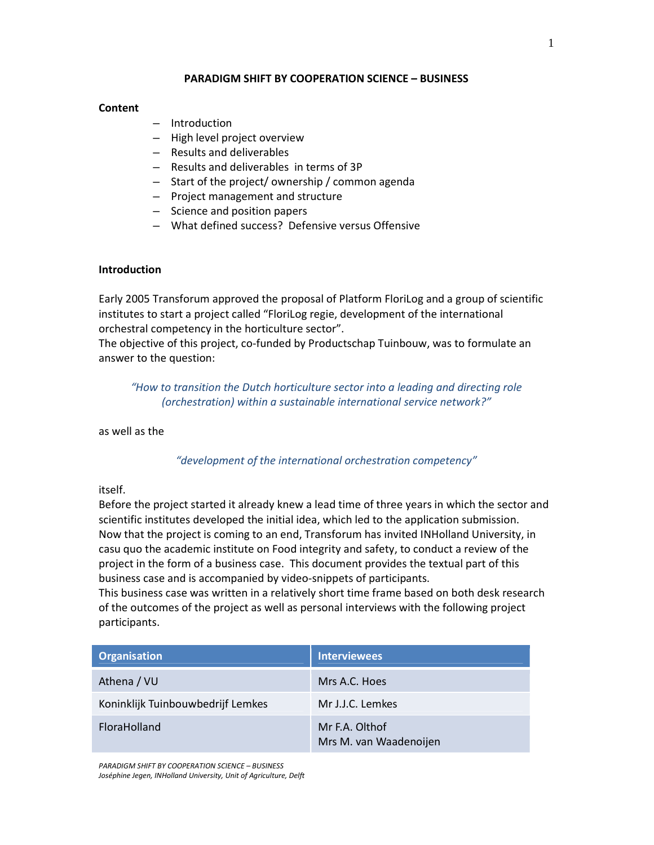### PARADIGM SHIFT BY COOPERATION SCIENCE – BUSINESS

### **Content**

- Introduction
- High level project overview
- Results and deliverables
- Results and deliverables in terms of 3P
- Start of the project/ ownership / common agenda
- Project management and structure
- Science and position papers
- What defined success? Defensive versus Offensive

## Introduction

Early 2005 Transforum approved the proposal of Platform FloriLog and a group of scientific institutes to start a project called "FloriLog regie, development of the international orchestral competency in the horticulture sector".

The objective of this project, co-funded by Productschap Tuinbouw, was to formulate an answer to the question:

"How to transition the Dutch horticulture sector into a leading and directing role (orchestration) within a sustainable international service network?"

as well as the

"development of the international orchestration competency"

itself.

Before the project started it already knew a lead time of three years in which the sector and scientific institutes developed the initial idea, which led to the application submission. Now that the project is coming to an end, Transforum has invited INHolland University, in casu quo the academic institute on Food integrity and safety, to conduct a review of the project in the form of a business case. This document provides the textual part of this business case and is accompanied by video-snippets of participants.

This business case was written in a relatively short time frame based on both desk research of the outcomes of the project as well as personal interviews with the following project participants.

| <b>Organisation</b>               | <b>Interviewees</b>                      |
|-----------------------------------|------------------------------------------|
| Athena / VU                       | Mrs A.C. Hoes                            |
| Koninklijk Tuinbouwbedrijf Lemkes | Mr J.J.C. Lemkes                         |
| FloraHolland                      | Mr F.A. Olthof<br>Mrs M. van Waadenoijen |

PARADIGM SHIFT BY COOPERATION SCIENCE – BUSINESS Joséphine Jegen, INHolland University, Unit of Agriculture, Delft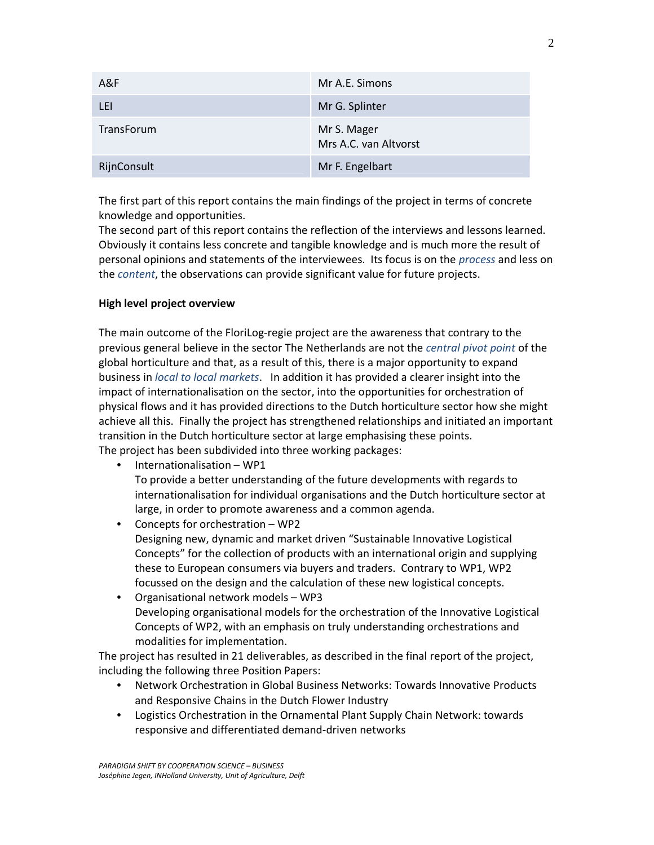| A&F               | Mr A.E. Simons                       |
|-------------------|--------------------------------------|
| LEI               | Mr G. Splinter                       |
| <b>TransForum</b> | Mr S. Mager<br>Mrs A.C. van Altvorst |
| RijnConsult       | Mr F. Engelbart                      |

The first part of this report contains the main findings of the project in terms of concrete knowledge and opportunities.

The second part of this report contains the reflection of the interviews and lessons learned. Obviously it contains less concrete and tangible knowledge and is much more the result of personal opinions and statements of the interviewees. Its focus is on the process and less on the content, the observations can provide significant value for future projects.

### High level project overview

The main outcome of the FloriLog-regie project are the awareness that contrary to the previous general believe in the sector The Netherlands are not the central pivot point of the global horticulture and that, as a result of this, there is a major opportunity to expand business in local to local markets. In addition it has provided a clearer insight into the impact of internationalisation on the sector, into the opportunities for orchestration of physical flows and it has provided directions to the Dutch horticulture sector how she might achieve all this. Finally the project has strengthened relationships and initiated an important transition in the Dutch horticulture sector at large emphasising these points. The project has been subdivided into three working packages:

- Internationalisation WP1 To provide a better understanding of the future developments with regards to internationalisation for individual organisations and the Dutch horticulture sector at large, in order to promote awareness and a common agenda.
	- Concepts for orchestration WP2 Designing new, dynamic and market driven "Sustainable Innovative Logistical Concepts" for the collection of products with an international origin and supplying these to European consumers via buyers and traders. Contrary to WP1, WP2 focussed on the design and the calculation of these new logistical concepts.
	- Organisational network models WP3 Developing organisational models for the orchestration of the Innovative Logistical Concepts of WP2, with an emphasis on truly understanding orchestrations and modalities for implementation.

The project has resulted in 21 deliverables, as described in the final report of the project, including the following three Position Papers:

- Network Orchestration in Global Business Networks: Towards Innovative Products and Responsive Chains in the Dutch Flower Industry
- Logistics Orchestration in the Ornamental Plant Supply Chain Network: towards responsive and differentiated demand-driven networks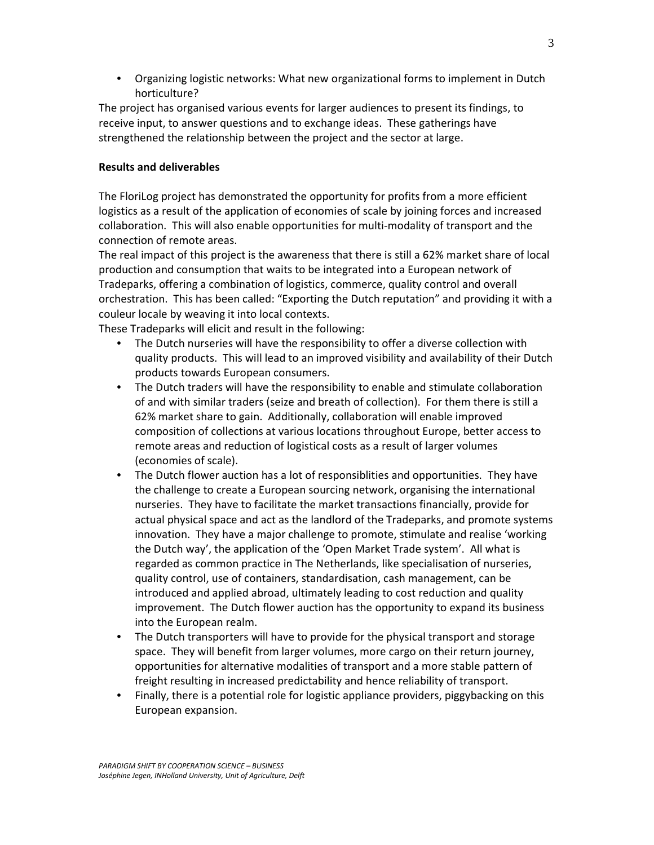• Organizing logistic networks: What new organizational forms to implement in Dutch horticulture?

The project has organised various events for larger audiences to present its findings, to receive input, to answer questions and to exchange ideas. These gatherings have strengthened the relationship between the project and the sector at large.

# Results and deliverables

The FloriLog project has demonstrated the opportunity for profits from a more efficient logistics as a result of the application of economies of scale by joining forces and increased collaboration. This will also enable opportunities for multi-modality of transport and the connection of remote areas.

The real impact of this project is the awareness that there is still a 62% market share of local production and consumption that waits to be integrated into a European network of Tradeparks, offering a combination of logistics, commerce, quality control and overall orchestration. This has been called: "Exporting the Dutch reputation" and providing it with a couleur locale by weaving it into local contexts.

These Tradeparks will elicit and result in the following:

- The Dutch nurseries will have the responsibility to offer a diverse collection with quality products. This will lead to an improved visibility and availability of their Dutch products towards European consumers.
- The Dutch traders will have the responsibility to enable and stimulate collaboration of and with similar traders (seize and breath of collection). For them there is still a 62% market share to gain. Additionally, collaboration will enable improved composition of collections at various locations throughout Europe, better access to remote areas and reduction of logistical costs as a result of larger volumes (economies of scale).
- The Dutch flower auction has a lot of responsiblities and opportunities. They have the challenge to create a European sourcing network, organising the international nurseries. They have to facilitate the market transactions financially, provide for actual physical space and act as the landlord of the Tradeparks, and promote systems innovation. They have a major challenge to promote, stimulate and realise 'working the Dutch way', the application of the 'Open Market Trade system'. All what is regarded as common practice in The Netherlands, like specialisation of nurseries, quality control, use of containers, standardisation, cash management, can be introduced and applied abroad, ultimately leading to cost reduction and quality improvement. The Dutch flower auction has the opportunity to expand its business into the European realm.
- The Dutch transporters will have to provide for the physical transport and storage space. They will benefit from larger volumes, more cargo on their return journey, opportunities for alternative modalities of transport and a more stable pattern of freight resulting in increased predictability and hence reliability of transport.
- Finally, there is a potential role for logistic appliance providers, piggybacking on this European expansion.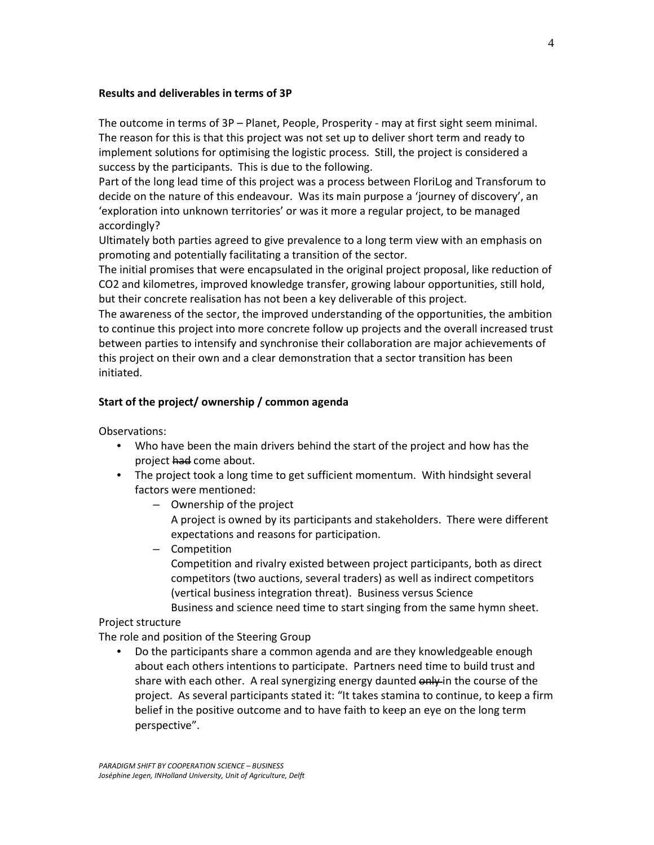### Results and deliverables in terms of 3P

The outcome in terms of 3P – Planet, People, Prosperity - may at first sight seem minimal. The reason for this is that this project was not set up to deliver short term and ready to implement solutions for optimising the logistic process. Still, the project is considered a success by the participants. This is due to the following.

Part of the long lead time of this project was a process between FloriLog and Transforum to decide on the nature of this endeavour. Was its main purpose a 'journey of discovery', an 'exploration into unknown territories' or was it more a regular project, to be managed accordingly?

Ultimately both parties agreed to give prevalence to a long term view with an emphasis on promoting and potentially facilitating a transition of the sector.

The initial promises that were encapsulated in the original project proposal, like reduction of CO2 and kilometres, improved knowledge transfer, growing labour opportunities, still hold, but their concrete realisation has not been a key deliverable of this project.

The awareness of the sector, the improved understanding of the opportunities, the ambition to continue this project into more concrete follow up projects and the overall increased trust between parties to intensify and synchronise their collaboration are major achievements of this project on their own and a clear demonstration that a sector transition has been initiated.

### Start of the project/ ownership / common agenda

Observations:

- Who have been the main drivers behind the start of the project and how has the project had come about.
- The project took a long time to get sufficient momentum. With hindsight several factors were mentioned:
	- Ownership of the project A project is owned by its participants and stakeholders. There were different expectations and reasons for participation.
	- Competition Competition and rivalry existed between project participants, both as direct competitors (two auctions, several traders) as well as indirect competitors (vertical business integration threat). Business versus Science Business and science need time to start singing from the same hymn sheet.

## Project structure

The role and position of the Steering Group

• Do the participants share a common agenda and are they knowledgeable enough about each others intentions to participate. Partners need time to build trust and share with each other. A real synergizing energy daunted only in the course of the project. As several participants stated it: "It takes stamina to continue, to keep a firm belief in the positive outcome and to have faith to keep an eye on the long term perspective".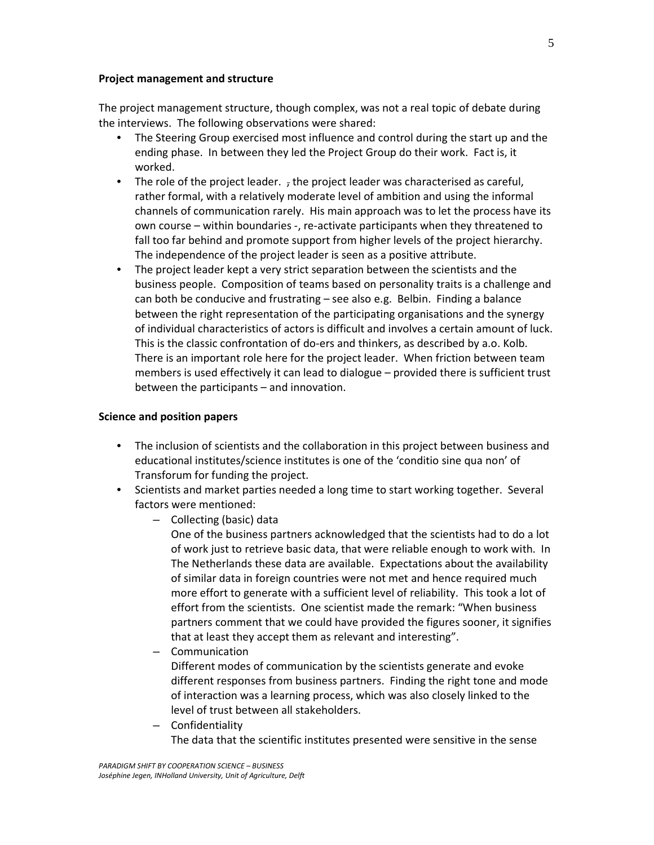#### Project management and structure

The project management structure, though complex, was not a real topic of debate during the interviews. The following observations were shared:

- The Steering Group exercised most influence and control during the start up and the ending phase. In between they led the Project Group do their work. Fact is, it worked.
- The role of the project leader. , the project leader was characterised as careful, rather formal, with a relatively moderate level of ambition and using the informal channels of communication rarely. His main approach was to let the process have its own course – within boundaries -, re-activate participants when they threatened to fall too far behind and promote support from higher levels of the project hierarchy. The independence of the project leader is seen as a positive attribute.
- The project leader kept a very strict separation between the scientists and the business people. Composition of teams based on personality traits is a challenge and can both be conducive and frustrating – see also e.g. Belbin. Finding a balance between the right representation of the participating organisations and the synergy of individual characteristics of actors is difficult and involves a certain amount of luck. This is the classic confrontation of do-ers and thinkers, as described by a.o. Kolb. There is an important role here for the project leader. When friction between team members is used effectively it can lead to dialogue – provided there is sufficient trust between the participants – and innovation.

#### Science and position papers

- The inclusion of scientists and the collaboration in this project between business and educational institutes/science institutes is one of the 'conditio sine qua non' of Transforum for funding the project.
- Scientists and market parties needed a long time to start working together. Several factors were mentioned:
	- Collecting (basic) data

One of the business partners acknowledged that the scientists had to do a lot of work just to retrieve basic data, that were reliable enough to work with. In The Netherlands these data are available. Expectations about the availability of similar data in foreign countries were not met and hence required much more effort to generate with a sufficient level of reliability. This took a lot of effort from the scientists. One scientist made the remark: "When business partners comment that we could have provided the figures sooner, it signifies that at least they accept them as relevant and interesting".

– Communication

Different modes of communication by the scientists generate and evoke different responses from business partners. Finding the right tone and mode of interaction was a learning process, which was also closely linked to the level of trust between all stakeholders.

– Confidentiality The data that the scientific institutes presented were sensitive in the sense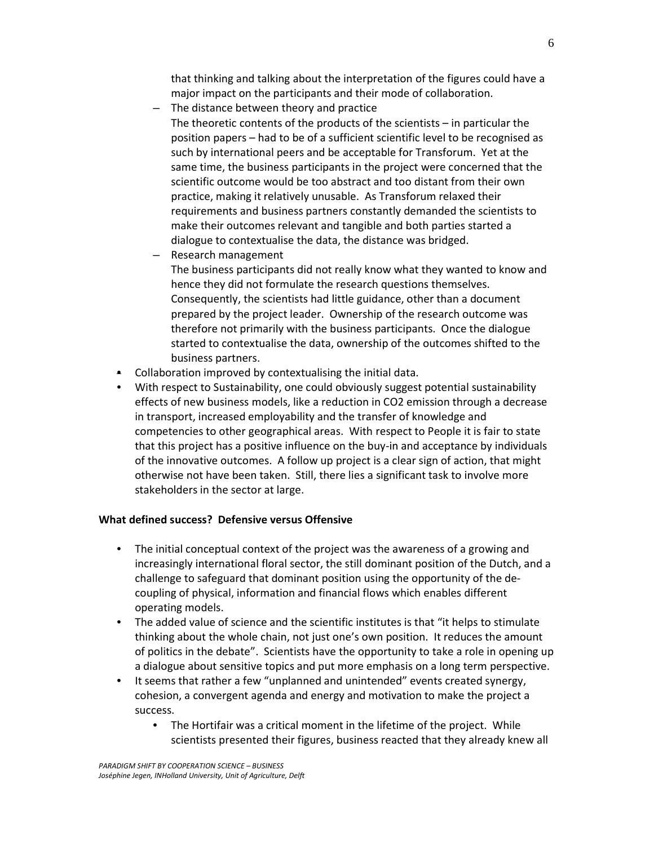that thinking and talking about the interpretation of the figures could have a major impact on the participants and their mode of collaboration.

- The distance between theory and practice The theoretic contents of the products of the scientists – in particular the position papers – had to be of a sufficient scientific level to be recognised as such by international peers and be acceptable for Transforum. Yet at the same time, the business participants in the project were concerned that the scientific outcome would be too abstract and too distant from their own practice, making it relatively unusable. As Transforum relaxed their requirements and business partners constantly demanded the scientists to make their outcomes relevant and tangible and both parties started a dialogue to contextualise the data, the distance was bridged.
- Research management

The business participants did not really know what they wanted to know and hence they did not formulate the research questions themselves. Consequently, the scientists had little guidance, other than a document prepared by the project leader. Ownership of the research outcome was therefore not primarily with the business participants. Once the dialogue started to contextualise the data, ownership of the outcomes shifted to the business partners.

- Collaboration improved by contextualising the initial data.
- With respect to Sustainability, one could obviously suggest potential sustainability effects of new business models, like a reduction in CO2 emission through a decrease in transport, increased employability and the transfer of knowledge and competencies to other geographical areas. With respect to People it is fair to state that this project has a positive influence on the buy-in and acceptance by individuals of the innovative outcomes. A follow up project is a clear sign of action, that might otherwise not have been taken. Still, there lies a significant task to involve more stakeholders in the sector at large.

## What defined success? Defensive versus Offensive

- The initial conceptual context of the project was the awareness of a growing and increasingly international floral sector, the still dominant position of the Dutch, and a challenge to safeguard that dominant position using the opportunity of the decoupling of physical, information and financial flows which enables different operating models.
- The added value of science and the scientific institutes is that "it helps to stimulate thinking about the whole chain, not just one's own position. It reduces the amount of politics in the debate". Scientists have the opportunity to take a role in opening up a dialogue about sensitive topics and put more emphasis on a long term perspective.
- It seems that rather a few "unplanned and unintended" events created synergy, cohesion, a convergent agenda and energy and motivation to make the project a success.
	- The Hortifair was a critical moment in the lifetime of the project. While scientists presented their figures, business reacted that they already knew all